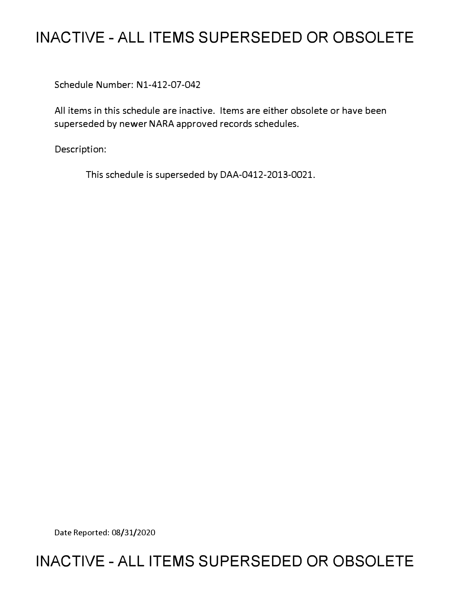# **INACTIVE - ALL ITEMS SUPERSEDED OR OBSOLETE**

Schedule Number: Nl-412-07-042

All items in this schedule are inactive. Items are either obsolete or have been superseded by newer NARA approved records schedules.

Description:

This schedule is superseded by DAA-0412-2013-0021.

Date Reported: 08/31/2020

# **INACTIVE - ALL ITEMS SUPERSEDED OR OBSOLETE**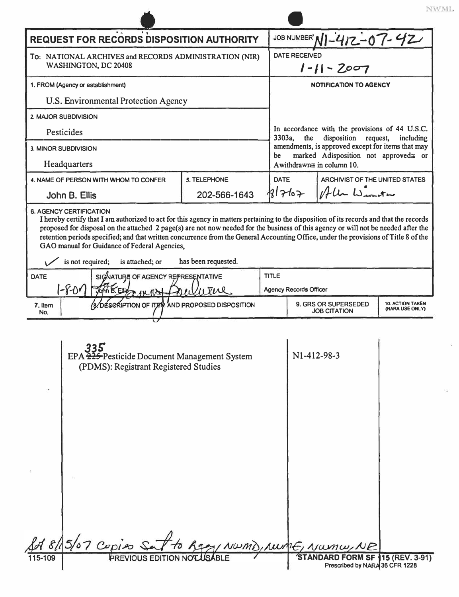| <b>REQUEST FOR RECORDS DISPOSITION AUTHORITY</b>                                                                                                                                                                                                                                                                                                                                                                                                                                                                                                                        |                                                                                              |              |              | JOB NUMBER' NI-412-07-42                                                                                                     |                                                                           |                                            |  |  |  |
|-------------------------------------------------------------------------------------------------------------------------------------------------------------------------------------------------------------------------------------------------------------------------------------------------------------------------------------------------------------------------------------------------------------------------------------------------------------------------------------------------------------------------------------------------------------------------|----------------------------------------------------------------------------------------------|--------------|--------------|------------------------------------------------------------------------------------------------------------------------------|---------------------------------------------------------------------------|--------------------------------------------|--|--|--|
| To: NATIONAL ARCHIVES and RECORDS ADMINISTRATION (NIR)<br>WASHINGTON, DC 20408                                                                                                                                                                                                                                                                                                                                                                                                                                                                                          |                                                                                              |              |              | <b>DATE RECEIVED</b><br>$1 - 11 - 2007$                                                                                      |                                                                           |                                            |  |  |  |
| 1. FROM (Agency or establishment)                                                                                                                                                                                                                                                                                                                                                                                                                                                                                                                                       |                                                                                              |              |              | <b>NOTIFICATION TO AGENCY</b>                                                                                                |                                                                           |                                            |  |  |  |
| U.S. Environmental Protection Agency                                                                                                                                                                                                                                                                                                                                                                                                                                                                                                                                    |                                                                                              |              |              |                                                                                                                              |                                                                           |                                            |  |  |  |
| 2. MAJOR SUBDIVISION                                                                                                                                                                                                                                                                                                                                                                                                                                                                                                                                                    |                                                                                              |              |              |                                                                                                                              |                                                                           |                                            |  |  |  |
| Pesticides                                                                                                                                                                                                                                                                                                                                                                                                                                                                                                                                                              |                                                                                              |              |              | 3303a,<br>the                                                                                                                | In accordance with the provisions of 44 U.S.C.<br>disposition<br>request, | including                                  |  |  |  |
| 3. MINOR SUBDIVISION                                                                                                                                                                                                                                                                                                                                                                                                                                                                                                                                                    |                                                                                              |              |              | amendments, is approved except for items that may<br>marked Adisposition not approved≅ or<br>be<br>Awithdrawn≡ in column 10. |                                                                           |                                            |  |  |  |
| Headquarters                                                                                                                                                                                                                                                                                                                                                                                                                                                                                                                                                            |                                                                                              |              |              |                                                                                                                              |                                                                           |                                            |  |  |  |
|                                                                                                                                                                                                                                                                                                                                                                                                                                                                                                                                                                         | 4. NAME OF PERSON WITH WHOM TO CONFER                                                        | 5. TELEPHONE |              | <b>DATE</b><br>ARCHIVIST OF THE UNITED STATES                                                                                |                                                                           |                                            |  |  |  |
|                                                                                                                                                                                                                                                                                                                                                                                                                                                                                                                                                                         | John B. Ellis                                                                                | 202-566-1643 |              | 181767                                                                                                                       | Alle Winter                                                               |                                            |  |  |  |
| <b>6. AGENCY CERTIFICATION</b><br>I hereby certify that I am authorized to act for this agency in matters pertaining to the disposition of its records and that the records<br>proposed for disposal on the attached 2 page(s) are not now needed for the business of this agency or will not be needed after the<br>retention periods specified; and that written concurrence from the General Accounting Office, under the provisions of Title 8 of the<br>GAO manual for Guidance of Federal Agencies,<br>is not required;<br>has been requested.<br>is attached; or |                                                                                              |              |              |                                                                                                                              |                                                                           |                                            |  |  |  |
| SIGNATURE OF AGENCY REPRESENTATIVE<br><b>DATE</b>                                                                                                                                                                                                                                                                                                                                                                                                                                                                                                                       |                                                                                              |              | <b>TITLE</b> |                                                                                                                              |                                                                           |                                            |  |  |  |
| $-801$<br>John B. Eller In 1100<br>WEW                                                                                                                                                                                                                                                                                                                                                                                                                                                                                                                                  |                                                                                              |              |              | <b>Agency Records Officer</b>                                                                                                |                                                                           |                                            |  |  |  |
| 7. Item<br>No.                                                                                                                                                                                                                                                                                                                                                                                                                                                                                                                                                          | DÉSERIPTION OF ITEN AND PROPOSED DISPOSITION                                                 |              |              | 9. GRS OR SUPERSEDED<br><b>JOB CITATION</b>                                                                                  |                                                                           | <b>10. ACTION TAKEN</b><br>(NARA USE ONLY) |  |  |  |
|                                                                                                                                                                                                                                                                                                                                                                                                                                                                                                                                                                         | ククて<br>EPA 225-Pesticide Document Management System<br>(PDMS): Registrant Registered Studies |              |              | N1-412-98-3                                                                                                                  |                                                                           |                                            |  |  |  |
| 115-109                                                                                                                                                                                                                                                                                                                                                                                                                                                                                                                                                                 | 818/15/07 Cupies Set to Age / NWMD, NWME, NWMW, NB                                           |              |              |                                                                                                                              | STANDARD FORM SF 115 (REV. 3-91)                                          |                                            |  |  |  |
|                                                                                                                                                                                                                                                                                                                                                                                                                                                                                                                                                                         |                                                                                              |              |              |                                                                                                                              | Prescribed by NARA 36 CFR 1228                                            |                                            |  |  |  |

 $\blacktriangle$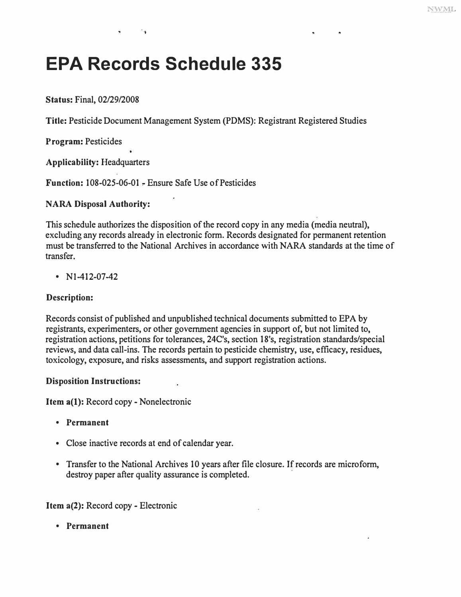# **EPA Records Schedule 335**

• 'I

**Status: Final, 02/29/2008** 

**Title: Pesticide Document Management System (PDMS): Registrant Registered Studies** 

**Program: Pesticides** 

**Applicability: Headquarters** 

**Function: 108-025-06-01,. Ensure Safe Use of Pesticides** 

### **NARA Disposal Authority:**

**This schedule authorizes the disposition of the record copy in any media (media neutral), excluding any records already in electronic form. Records designated for permanent retention must be transferred to the National Archives in accordance with NARA standards at the time of transfer.** 

**• Nl-412-07-42** 

## **Description:**

**Records consist of published and unpublished technical documents submitted to EPA by registrants, experimenters, or other government agencies in support of, but not limited to, registration actions, petitions for tolerances, 24C's, section 18's, registration standards/special reviews, and data call-ins. The records pertain to pesticide chemistry, use, efficacy, residues, toxicology, exposure, and risks assessments, and support registration actions.** 

### **Disposition Instructions:**

**Item a(l): Record copy- Nonelectronic** 

- **Permanent**
- **Close inactive records at end of calendar year.**
- Transfer to the National Archives 10 years after file closure. If records are microform, **destroy paper after quality assurance is completed.**

**Item a(2): Record copy - Electronic** 

**• Permanent**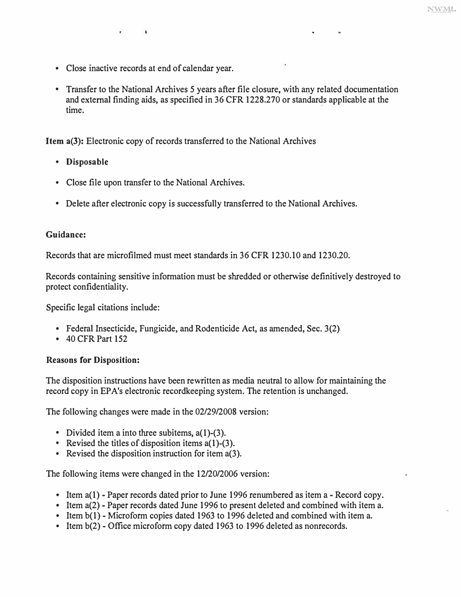**• Close inactive records at end of calendar year.** 

 $\ddot{\phantom{1}}$ 

**• Transfer to the National Archives 5 years after file closure, with any related documentation and external finding aids, as specified in 36 CFR 1228.270 or standards applicable at the time.** 

**Item a(3): Electronic copy of records transferred to the National Archives** 

- **Disposable**
- **Close file upon transfer to the National Archives.**
- **Delete after electronic copy is successfully transferred to the National Archives.**

#### **Guidance:**

**Records that are microfilmed must meet standards in 36 CFR 1230.10 and 1230.20.** 

**Records containing sensitive information must be shredded or otherwise definitively destroyed to protect confidentiality.** 

**Specific legal citations include:** 

- **Federal Insecticide, Fungicide, and Rodenticide Act, as amended, Sec. 3(2) 40 CFR Part 152**
- 

#### **Reasons for Disposition:**

**The disposition instructions have been rewritten as media neutral to allow for maintaining the record copy in EP A's electronic recordkeeping system. The retention is unchanged.** 

**The following changes were made in the 02/29/2008 version:** 

- 
- **Divided item a into three subitems, a(l)-(3). Revised the titles of disposition items a(l)-(3). Revised the disposition instruction for item a(3).**
- 

**The following items were changed in the 12/20/2006 version:** 

- 
- Item a(1) Paper records dated prior to June 1996 renumbered as item a Record copy.<br>• Item a(2) Paper records dated June 1996 to present deleted and combined with item a.<br>• Item b(1) Microform copies dated 1963 t
- 
-